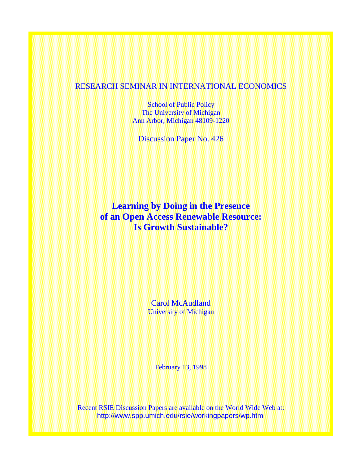### RESEARCH SEMINAR IN INTERNATIONAL ECONOMICS

School of Public Policy The University of Michigan Ann Arbor, Michigan 48109-1220

Discussion Paper No. 426

## **Learning by Doing in the Presence of an Open Access Renewable Resource: Is Growth Sustainable?**

Carol McAudland University of Michigan

February 13, 1998

Recent RSIE Discussion Papers are available on the World Wide Web at: http://www.spp.umich.edu/rsie/workingpapers/wp.html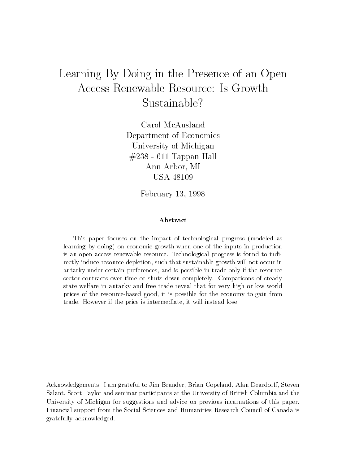# Learning By Doing in the Presence of an Open Access Renewable Resource: Is Growth Sustainable?

Carol McAusland Department of Economics University of Michigan #238 - 611 Tappan Hall Ann Arbor, MI USA 48109

February 13, 1998

#### Abstract

This paper focuses on the impact of technological progress (modeled as learning by doing) on economic growth when one of the inputs in production is an open access renewable resource. Technological progress is found to indirectly induce resource depletion, such that sustainable growth will not occur in autarky under certain preferences, and is possible in trade only if the resource sector contracts over time or shuts down completely. Comparisons of steady state welfare in autarky and free trade reveal that for very high or low world prices of the resource-based good, it is possible for the economy to gain from trade. However if the price is intermediate, it will instead lose.

Acknowledgements: I am grateful to Jim Brander, Brian Copeland, Alan Deardorff, Steven Salant, Scott Taylor and seminar participants at the University of British Columbia and the University of Michigan for suggestions and advice on previous incarnations of this paper. Financial support from the Social Sciences and Humanities Research Council of Canada is gratefully acknowledged.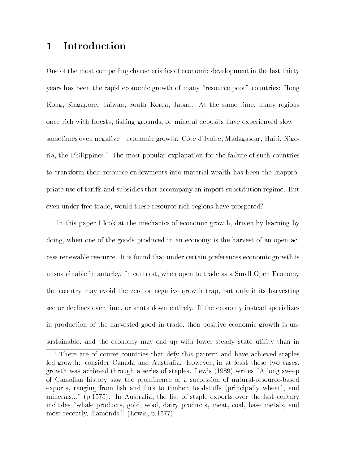#### **Introduction**  $\mathbf{1}$

One of the most compelling characteristics of economic development in the last thirty years has been the rapid economic growth of many \resource poor" countries: Hong Kong, Singapore, Taiwan, South Korea, Japan. At the same time, many regions once rich with forests, fishing grounds, or mineral deposits have experienced slow sometimes even negative—economic growth: Côte d'Ivoire, Madagascar, Haiti, Nige $ria, the Philippines.<sup>1</sup> The most popular explanation for the failure of such countries$ to transform their resource endowments into material wealth has been the inappropriate use of tariffs and subsidies that accompany an import substitution regime. But even under free trade, would these resource rich regions have prospered?

In this paper I look at the mechanics of economic growth, driven by learning by doing, when one of the goods produced in an economy is the harvest of an open access renewable resource. It is found that under certain preferences economic growth is unsustainable in autarky. In contrast, when open to trade as a Small Open Economy the country may avoid the zero or negative growth trap, but only if its harvesting sector declines over time, or shuts down entirely. If the economy instead specializes in production of the harvested good in trade, then positive economic growth is unsustainable, and the economy may end up with lower steady state utility than in

<sup>1</sup> There are of course countries that defy this pattern and have achieved staples led growth: consider Canada and Australia. However, in at least these two cases, growth was achieved through a series of staples. Lewis (1989) writes \A long sweep of Canadian history saw the prominence of a succession of natural-resource-based  $\alpha$  exports, ranging from fish and furs to timber, foodstuffs (principally wheat), and minerals..." (p.1575). In Australia, the list of staple exports over the last century includes "whale products, gold, wool, dairy products, meat, coal, base metals, and most recently, diamonds." (Lewis, p.1577)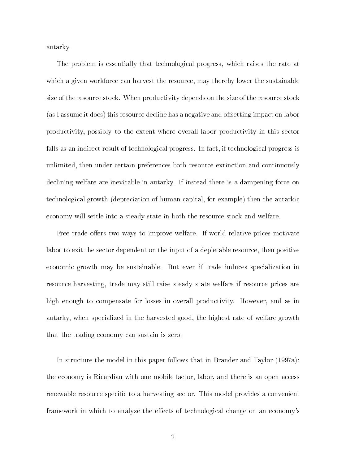autarky.

The problem is essentially that technological progress, which raises the rate at which a given workforce can harvest the resource, may thereby lower the sustainable size of the resource stock. When productivity depends on the size of the resource stock (as I assume it does) this resource decline has a negative and offsetting impact on labor productivity, possibly to the extent where overall labor productivity in this sector falls as an indirect result of technological progress. In fact, if technological progress is unlimited, then under certain preferences both resource extinction and continuously declining welfare are inevitable in autarky. If instead there is a dampening force on technological growth (depreciation of human capital, for example) then the autarkic economy will settle into a steady state in both the resource stock and welfare.

Free trade offers two ways to improve welfare. If world relative prices motivate labor to exit the sector dependent on the input of a depletable resource, then positive economic growth may be sustainable. But even if trade induces specialization in resource harvesting, trade may still raise steady state welfare if resource prices are high enough to compensate for losses in overall productivity. However, and as in autarky, when specialized in the harvested good, the highest rate of welfare growth that the trading economy can sustain is zero.

In structure the model in this paper follows that in Brander and Taylor (1997a): the economy is Ricardian with one mobile factor, labor, and there is an open access renewable resource specific to a harvesting sector. This model provides a convenient framework in which to analyze the effects of technological change on an economy's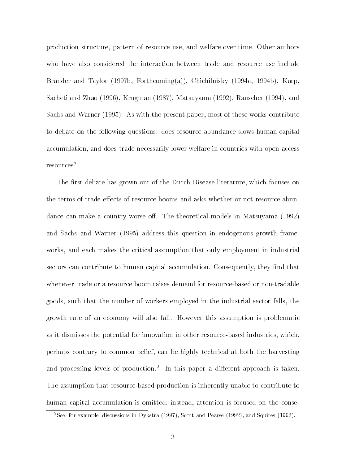production structure, pattern of resource use, and welfare over time. Other authors who have also considered the interaction between trade and resource use include Brander and Taylor (1997b, Forthcoming(a)), Chichilnisky (1994a, 1994b), Karp, Sacheti and Zhao (1996), Krugman (1987), Matsuyama (1992), Rauscher (1994), and Sachs and Warner (1995). As with the present paper, most of these works contribute to debate on the following questions: does resource abundance slows human capital accumulation, and does trade necessarily lower welfare in countries with open access resources?

The first debate has grown out of the Dutch Disease literature, which focuses on the terms of trade effects of resource booms and asks whether or not resource abundance can make a country worse off. The theoretical models in Matsuyama (1992) and Sachs and Warner (1995) address this question in endogenous growth frameworks, and each makes the critical assumption that only employment in industrial sectors can contribute to human capital accumulation. Consequently, they find that whenever trade or a resource boom raises demand for resource-based or non-tradable goods, such that the number of workers employed in the industrial sector falls, the growth rate of an economy will also fall. However this assumption is problematic as it dismisses the potential for innovation in other resource-based industries, which, perhaps contrary to common belief, can be highly technical at both the harvesting and processing levels of production." In this paper a different approach is taken. The assumption that resource-based production is inherently unable to contribute to human capital accumulation is omitted; instead, attention is focused on the conse-

 $2$ See, for example, discussions in Dykstra (1997), Scott and Pearse (1992), and Squires (1992).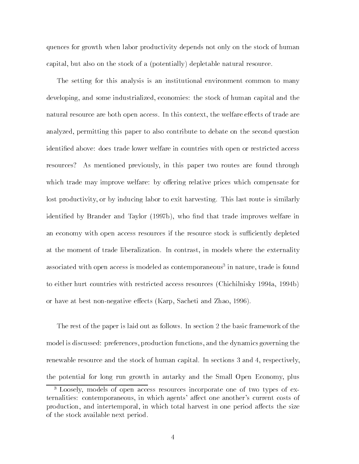quences for growth when labor productivity depends not only on the stock of human capital, but also on the stock of a (potentially) depletable natural resource.

The setting for this analysis is an institutional environment common to many developing, and some industrialized, economies: the stock of human capital and the natural resource are both open access. In this context, the welfare effects of trade are analyzed, permitting this paper to also contribute to debate on the second question identied above: does trade lower welfare in countries with open or restricted access resources? As mentioned previously, in this paper two routes are found through which trade may improve welfare: by offering relative prices which compensate for lost productivity, or by inducing labor to exit harvesting. This last route is similarly identified by Brander and Taylor (1997b), who find that trade improves welfare in an economy with open access resources if the resource stock is sufficiently depleted at the moment of trade liberalization. In contrast, in models where the externality associated with open access is modeled as contemporaneous" in nature, trade is found to either hurt countries with restricted access resources (Chichilnisky 1994a, 1994b) or have at best non-negative effects (Karp, Sacheti and Zhao, 1996).

The rest of the paper is laid out as follows. In section 2 the basic framework of the model is discussed: preferences, production functions, and the dynamics governing the renewable resource and the stock of human capital. In sections 3 and 4, respectively, the potential for long run growth in autarky and the Small Open Economy, plus

<sup>3</sup> Loosely, models of open access resources incorporate one of two types of externalities: contemporaneous, in which agents' affect one another's current costs of production, and intertemporal, in which total harvest in one period affects the size of the stock available next period.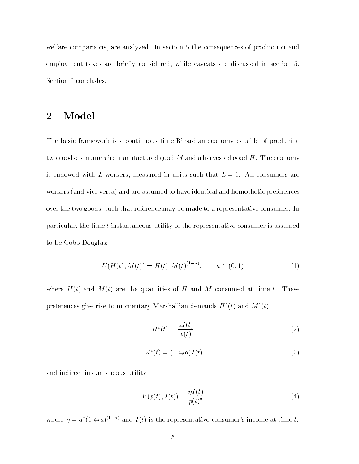welfare comparisons, are analyzed. In section 5 the consequences of production and employment taxes are briefly considered, while caveats are discussed in section 5. Section 6 concludes.

#### **Model**  $\overline{2}$

The basic framework is a continuous time Ricardian economy capable of producing two goods: a numeraire manufactured good  $M$  and a harvested good  $H$ . The economy is endowed with L workers, incasured in units such that  $L = 1$ . All consumers are workers (and vice versa) and are assumed to have identical and homothetic preferences over the two goods, such that reference may be made to a representative consumer. In particular, the time  $t$  instantaneous utility of the representative consumer is assumed to be Cobb-Douglas:

$$
U(H(t), M(t)) = H(t)^{a} M(t)^{(1-a)}, \qquad a \in (0, 1)
$$
 (1)

where  $H(t)$  and  $M(t)$  are the quantities of H and M consumed at time t. These preferences give rise to momentary Marshallian demands  $H^c(t)$  and  $M^c(t)$ 

$$
Hc(t) = \frac{aI(t)}{p(t)}
$$
\n(2)

$$
M^{c}(t) = (1 \Leftrightarrow a)I(t)
$$
\n(3)

and indirect instantaneous utility

$$
V(p(t), I(t)) = \frac{\eta I(t)}{p(t)^a}
$$
\n<sup>(4)</sup>

where  $\eta = a^a (1 \Leftrightarrow a)^{(1-a)}$  and  $I(t)$  is the representative consumer's income at time t.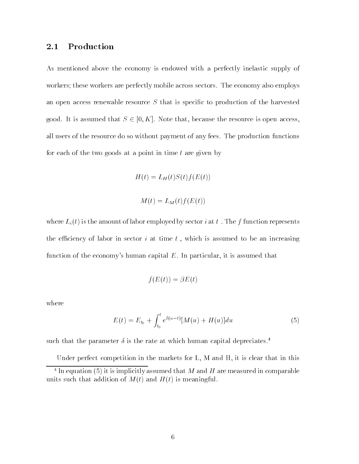#### Production  $2.1$

As mentioned above the economy is endowed with a perfectly inelastic supply of workers; these workers are perfectly mobile across sectors. The economy also employs an open access renewable resource  $S$  that is specific to production of the harvested good. It is assumed that  $S \in [0, K]$ . Note that, because the resource is open access, all users of the resource do so without payment of any fees. The production functions for each of the two goods at a point in time  $t$  are given by

$$
H(t) = L_H(t)S(t)f(E(t))
$$

$$
M(t) = L_M(t) f(E(t))
$$

where  $L_i(t)$  is the amount of labor employed by sector *i* at t. The f function represents the efficiency of labor in sector  $i$  at time  $t$ , which is assumed to be an increasing function of the economy's human capital  $E$ . In particular, it is assumed that

$$
f(E(t)) = \beta E(t)
$$

where

$$
E(t) = E_{t_0} + \int_{t_0}^t e^{\delta(u-t)} [M(u) + H(u)] du \tag{5}
$$

such that the parameter  $\delta$  is the rate at which human capital depreciates.<sup>4</sup>

Under perfect competition in the markets for L, M and H, it is clear that in this  $\pm$  In equation (5) it is implicitly assumed that M and H are measured in comparable units such that addition of  $M(t)$  and  $H(t)$  is meaningful.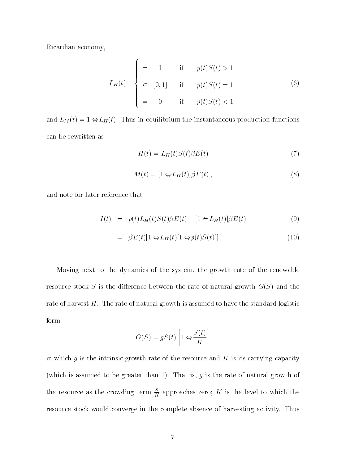Ricardian economy,

$$
L_H(t) = \begin{cases} = 1 & \text{if } p(t)S(t) > 1 \\ \in [0,1] & \text{if } p(t)S(t) = 1 \\ = 0 & \text{if } p(t)S(t) < 1 \end{cases}
$$
(6)

and  $\mathbf{L}_{M}$  (t). Thus in equilibrium the instantaneous production functions can be rewritten as

the contract of the contract of the contract of the contract of the contract of the contract of the contract of

$$
H(t) = L_H(t)S(t)\beta E(t)
$$
\n(7)

$$
M(t) = [1 \Leftrightarrow L_H(t)] \beta E(t) , \qquad (8)
$$

and note for later reference that

$$
I(t) = p(t)L_H(t)S(t)\beta E(t) + [1 \Leftrightarrow L_H(t)]\beta E(t)
$$
\n(9)

$$
= \beta E(t)[1 \Leftrightarrow L_H(t)[1 \Leftrightarrow p(t)S(t)]] . \tag{10}
$$

Moving next to the dynamics of the system, the growth rate of the renewable resource stock S is the difference between the rate of natural growth  $G(S)$  and the rate of harvest  $H$ . The rate of natural growth is assumed to have the standard logistic form

$$
G(S) = gS(t) \left[ 1 \Leftrightarrow \frac{S(t)}{K} \right]
$$

in which  $g$  is the intrinsic growth rate of the resource and  $K$  is its carrying capacity (which is assumed to be greater than 1). That is,  $g$  is the rate of natural growth of the resource as the crowding term  $\frac{E}{K}$  approaches zero;  $K$  is the level to which the resource stock would converge in the complete absence of harvesting activity. Thus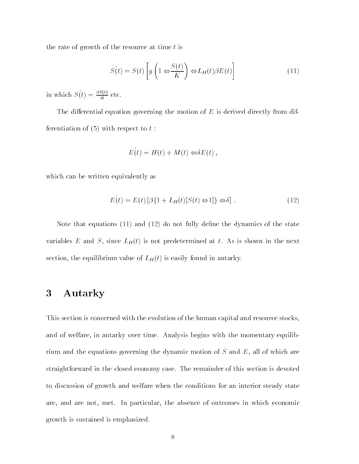the rate of growth of the resource at time  $t$  is

$$
S(t) = S(t) \left[ g \left( 1 \Leftrightarrow \frac{S(t)}{K} \right) \Leftrightarrow L_H(t) \beta E(t) \right]
$$
 (11)

in which  $S(t) = \frac{dS(t)}{dt}$  etc.

The differential equation governing the motion of  $E$  is derived directly from differentiation of  $(5)$  with respect to  $t$ :

$$
E(t) = H(t) + M(t) \Leftrightarrow \delta E(t) ,
$$

which can be written equivalently as

$$
E(t) = E(t) [\beta \{1 + L_H(t)[S(t) \Leftrightarrow 1]\} \Leftrightarrow \delta]. \tag{12}
$$

Note that equations  $(11)$  and  $(12)$  do not fully define the dynamics of the state variables E and S, since  $L_H(t)$  is not predetermined at t. As is shown in the next  $s$  is the equilibrium value of  $\mathbf{L}_{H}$  (t) is easily found in automic).

## 3 Autarky

This section is concerned with the evolution of the human capital and resource stocks, and of welfare, in autarky over time. Analysis begins with the momentary equilibrium and the equations governing the dynamic motion of  $S$  and  $E$ , all of which are straightforward in the closed economy case. The remainder of this section is devoted to discussion of growth and welfare when the conditions for an interior steady state are, and are not, met. In particular, the absence of outcomes in which economic growth is sustained is emphasized.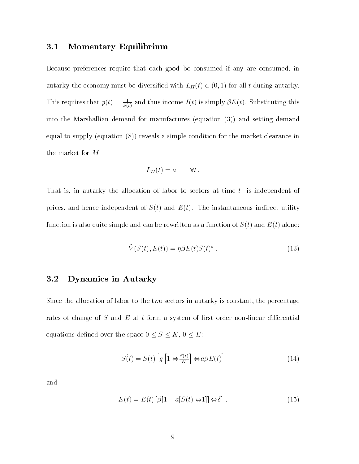### 3.1 Momentary Equilibrium

Because preferences require that each good be consumed if any are consumed, in  $\alpha$  and  $\alpha$  be diversity model to be diversitied with  $L_{H}$  (t)  $\alpha$  (e),  $\alpha$ ) for all t during autominy. I his requires that  $p(t) = \frac{1}{S(t)}$  and thus income  $I(t)$  is simply  $\beta E(t)$ . Substituting this into the Marshallian demand for manufactures (equation (3)) and setting demand equal to supply (equation (8)) reveals a simple condition for the market clearance in the market for M:

$$
L_H(t) = a \qquad \forall t.
$$

That is, in autarky the allocation of labor to sectors at time t is independent of prices, and hence independent of  $S(t)$  and  $E(t)$ . The instantaneous indirect utility function is also quite simple and can be rewritten as a function of  $S(t)$  and  $E(t)$  alone:

$$
\tilde{V}(S(t), E(t)) = \eta \beta E(t) S(t)^a . \qquad (13)
$$

### 3.2 Dynamics in Autarky

Since the allocation of labor to the two sectors in autarky is constant, the percentage rates of change of  $S$  and  $E$  at  $t$  form a system of first order non-linear differential equations defined over the space  $0\leq S\leq K,\,0\leq E.$ 

$$
S(t) = S(t) \left[ g \left[ 1 \Leftrightarrow \frac{S(t)}{K} \right] \Leftrightarrow a \beta E(t) \right]
$$
 (14)

and

$$
E(t) = E(t) [\beta [1 + a[S(t) \Leftrightarrow 1]] \Leftrightarrow \delta]. \tag{15}
$$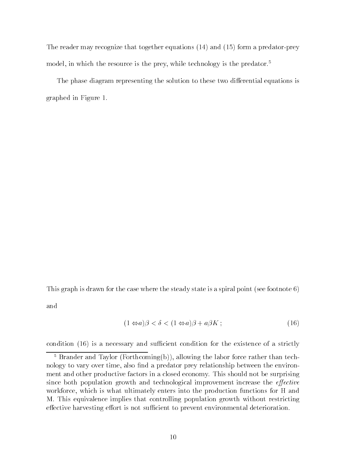The reader may recognize that together equations (14) and (15) form a predator-prey model, in which the resource is the prey, while technology is the predator.<sup>5</sup>

The phase diagram representing the solution to these two differential equations is graphed in Figure 1.

This graph is drawn for the case where the steady state is a spiral point (see footnote 6)

and

$$
(1 \Leftrightarrow a)\beta < \delta < (1 \Leftrightarrow a)\beta + a\beta K \tag{16}
$$

condition  $(16)$  is a necessary and sufficient condition for the existence of a strictly

<sup>5</sup> Brander and Taylor (Forthcoming(b)), allowing the labor force rather than technology to vary over time, also find a predator prey relationship between the environment and other productive factors in a closed economy. This should not be surprising since both population growth and technological improvement increase the *effective* workforce, which is what ultimately enters into the production functions for H and M. This equivalence implies that controlling population growth without restricting effective harvesting effort is not sufficient to prevent environmental deterioration.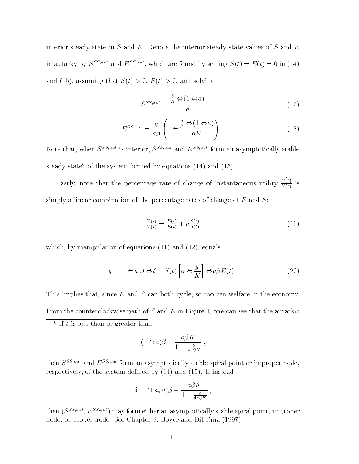interior steady state in  $S$  and  $E$ . Denote the interior steady state values of  $S$  and  $E$ in autarky by  $S^{SS,aut}$  and  $E^{SS, aut}$ , which are found by setting  $S(t) = E(t) = 0$  in (14) and (15), assuming that  $S(t) > 0$ ,  $E(t) > 0$ , and solving:

$$
S^{SS, aut} = \frac{\frac{\delta}{\beta} \Leftrightarrow (1 \Leftrightarrow a)}{a} \tag{17}
$$

$$
E^{SS, aut} = \frac{g}{a\beta} \left( 1 \Leftrightarrow \frac{\frac{\delta}{\beta} \Leftrightarrow (1 \Leftrightarrow a)}{aK} \right) \,. \tag{18}
$$

Note that, when  $S^{SS, aut}$  is interior,  $S^{SS, aut}$  and  $E^{SS, aut}$  form an asymptotically stable steady state<sup>6</sup> of the system formed by equations  $(14)$  and  $(15)$ .

Lastly, note that the percentage rate of change of instantaneous utility  $v \cdot v$  .  $V(t)$  is  $\sim$ simply a linear combination of the percentage rates of change of  $E$  and  $S$ :

$$
\frac{V(t)}{V(t)} = \frac{E(t)}{E(t)} + a\frac{S(t)}{S(t)}
$$
\n(19)

which, by manipulation of equations (11) and (12), equals

$$
g + [1 \Leftrightarrow a]\beta \Leftrightarrow \delta + S(t) \left[ a \Leftrightarrow \frac{g}{K} \right] \Leftrightarrow a\beta E(t). \tag{20}
$$

This implies that, since  $E$  and  $S$  can both cycle, so too can welfare in the economy. From the counterclockwise path of  $S$  and  $E$  in Figure 1, one can see that the autarkic

$$
(1 \Leftrightarrow a)\beta + \frac{a\beta K}{1 + \frac{g}{4a\beta K}}\,,
$$

then  $S^{SS, aut}$  and  $E^{SS, aut}$  form an asymptotically stable spiral point or improper node, respectively, of the system defined by  $(14)$  and  $(15)$ . If instead

$$
\delta = (1 \Leftrightarrow a)\beta + \frac{a\beta K}{1 + \frac{g}{4a\beta K}} ,
$$

then  $(S^{SS, aut}, E^{SS, aut})$  may form either an asymptotically stable spiral point, improper node, or proper node. See Chapter 9, Boyce and DiPrima (1997).

 $\pm$  11  $\sigma$  is less than or greater than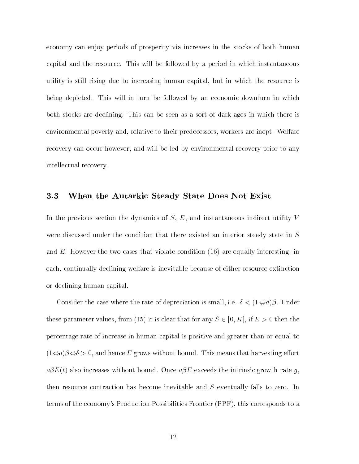economy can enjoy periods of prosperity via increases in the stocks of both human capital and the resource. This will be followed by a period in which instantaneous utility is still rising due to increasing human capital, but in which the resource is being depleted. This will in turn be followed by an economic downturn in which both stocks are declining. This can be seen as a sort of dark ages in which there is environmental poverty and, relative to their predecessors, workers are inept. Welfare recovery can occur however, and will be led by environmental recovery prior to any intellectual recovery.

### 3.3 When the Autarkic Steady State Does Not Exist

In the previous section the dynamics of S, E, and instantaneous indirect utility V were discussed under the condition that there existed an interior steady state in S and  $E$ . However the two cases that violate condition  $(16)$  are equally interesting: in each, continually declining welfare is inevitable because of either resource extinction or declining human capital.

Consider the case where the rate of depreciation is small, i.e.  $\delta < (1 \Leftrightarrow a)\beta$ . Under these parameter values, from (15) it is clear that for any  $S \in [0, K]$ , if  $E > 0$  then the percentage rate of increase in human capital is positive and greater than or equal to  $(1 \Leftrightarrow a)\beta \Leftrightarrow b > 0$ , and hence E grows without bound. This means that harvesting effort  $a\beta E(t)$  also increases without bound. Once  $a\beta E$  exceeds the intrinsic growth rate g, then resource contraction has become inevitable and <sup>S</sup> eventually falls to zero. In terms of the economy's Production Possibilities Frontier (PPF), this corresponds to a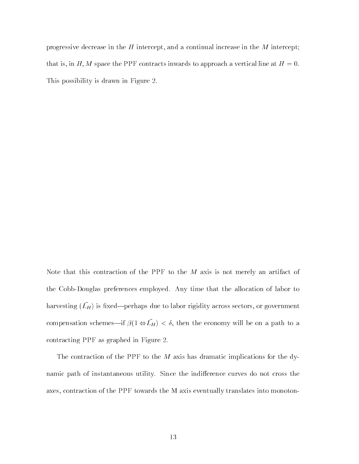progressive decrease in the  $H$  intercept, and a continual increase in the  $M$  intercept; that is, in H, M space the PPF contracts inwards to approach a vertical line at  $H = 0$ . This possibility is drawn in Figure 2.

Note that this contraction of the PPF to the  $M$  axis is not merely an artifact of the Cobb-Douglas preferences employed. Any time that the allocation of labor to  $\max$  and  $\max$  is integral perhaps due to labor rigidity across sectors, or government compensation schemes— $\mu$   $\rho$ (1  $\leftrightarrow$   $\nu$  $\mu$ )  $\sim$  0, then the economy will be on a path to a contracting PPF as graphed in Figure 2.

The contraction of the PPF to the  $M$  axis has dramatic implications for the dynamic path of instantaneous utility. Since the indifference curves do not cross the axes, contraction of the PPF towards the M axis eventually translates into monoton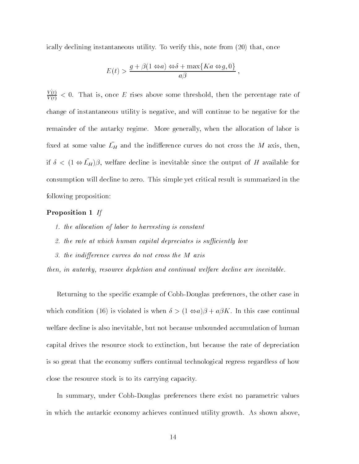ically declining instantaneous utility. To verify this, note from (20) that, once

$$
E(t) > \frac{g + \beta(1 \Leftrightarrow a) \Leftrightarrow \delta + \max\{Ka \Leftrightarrow g, 0\}}{a\beta},
$$

 $V \left\{ \begin{array}{ccc} U & \end{array} \right\}$  $V(t)$  and  $V(t)$  are  $V(t)$  is the some some threshold, then the percentage rate of change of instantaneous utility is negative, and will continue to be negative for the remainder of the autarky regime. More generally, when the allocation of labor is  $\mu$ xed at some value  $\mu$  and the municience curves do not cross the  $M$  axis, then,  $\mu$   $\alpha$   $\alpha$  (1  $\leftrightarrow$   $\mu$  )), wellate decline is inevitable since the output of H available for consumption will decline to zero. This simple yet critical result is summarized in the following proposition:

### Proposition 1 If

- 1. the allocation of labor to harvesting is constant
- 2. the rate at which human capital depreciates is sufficiently low
- 3. the indifference curves do not cross the  $M$  axis

then, in autarky, resource depletion and continual welfare decline are inevitable.

Returning to the specic example of Cobb-Douglas preferences, the other case in which condition (16) is violated is when  $\delta > (1 \Leftrightarrow a)\beta + a\beta K$ . In this case continual welfare decline is also inevitable, but not because unbounded accumulation of human capital drives the resource stock to extinction, but because the rate of depreciation is so great that the economy suffers continual technological regress regardless of how close the resource stock is to its carrying capacity.

In summary, under Cobb-Douglas preferences there exist no parametric values in which the autarkic economy achieves continued utility growth. As shown above,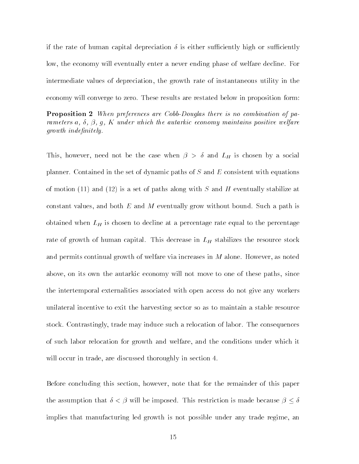if the rate of human capital depreciation  $\delta$  is either sufficiently high or sufficiently low, the economy will eventually enter a never ending phase of welfare decline. For intermediate values of depreciation, the growth rate of instantaneous utility in the economy will converge to zero. These results are restated below in proposition form:

Proposition 2 When preferences are Cobb-Douglas there is no combination of parameters a,  $\delta$ ,  $\beta$ ,  $g$ ,  $K$  under which the autarkic economy maintains positive welfare  $growth$  indefinitely.

 $\pm$  motion at the set of the case when  $\beta \rightarrow \alpha$  and  $\pm \pi$  is chosen by a social planner. Contained in the set of dynamic paths of  $S$  and  $E$  consistent with equations of motion (11) and (12) is a set of paths along with  $S$  and  $H$  eventually stabilize at constant values, and both  $E$  and  $M$  eventually grow without bound. Such a path is obtained when LH is chosen to decline at a percentage rate equal to the percentage rate of growth of human capital. This decrease in LH stabilizes the resource stock and permits continual growth of welfare via increases in  $M$  alone. However, as noted above, on its own the autarkic economy will not move to one of these paths, since the intertemporal externalities associated with open access do not give any workers unilateral incentive to exit the harvesting sector so as to maintain a stable resource stock. Contrastingly, trade may induce such a relocation of labor. The consequences of such labor relocation for growth and welfare, and the conditions under which it will occur in trade, are discussed thoroughly in section 4.

Before concluding this section, however, note that for the remainder of this paper the assumption that  $\delta < \beta$  will be imposed. This restriction is made because  $\beta \leq \delta$ implies that manufacturing led growth is not possible under any trade regime, an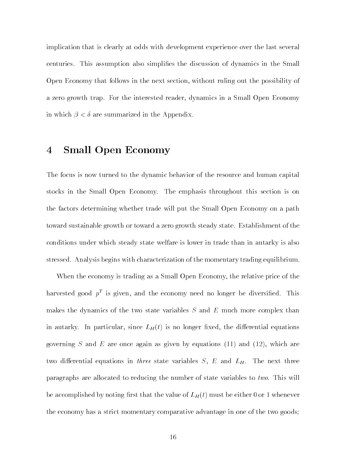implication that is clearly at odds with development experience over the last several centuries. This assumption also simplifies the discussion of dynamics in the Small Open Economy that follows in the next section, without ruling out the possibility of a zero growth trap. For the interested reader, dynamics in a Small Open Economy in which  $\beta < \delta$  are summarized in the Appendix.

## 4 Small Open Economy

The focus is now turned to the dynamic behavior of the resource and human capital stocks in the Small Open Economy. The emphasis throughout this section is on the factors determining whether trade will put the Small Open Economy on a path toward sustainable growth or toward a zero growth steady state. Establishment of the conditions under which steady state welfare is lower in trade than in autarky is also stressed. Analysis begins with characterization of the momentary trading equilibrium.

When the economy is trading as a Small Open Economy, the relative price of the harvested good  $p^+$  is given, and the economy need no longer be diversined. This makes the dynamics of the two state variables  $S$  and  $E$  much more complex than in autarky. In particular, since  $L_H(t)$  is no longer fixed, the differential equations governing S and E are once again as given by equations (11) and (12), which are two differential equations in three state variables  $S, E$  and  $L_H$ . The next three paragraphs are allocated to reducing the number of state variables to two. This will be accomplished by houng mot that the value of  $L_H$  ( $t$ ) must be either  $\sigma$  or 1 whenever the economy has a strict momentary comparative advantage in one of the two goods;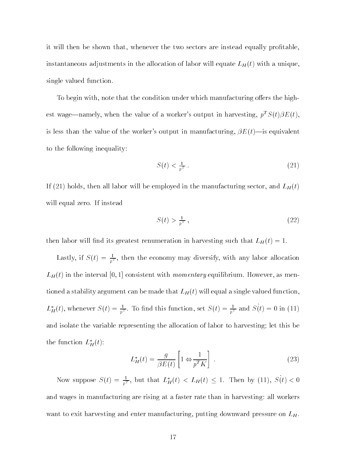it will then be shown that, whenever the two sectors are instead equally protable, instantaneous adjustments in the allocation of labor will equate LH (t) with a unique, single valued function.

To begin with, note that the condition under which manufacturing offers the highest wage—namely, when the value of a worker's output in harvesting,  $p^T S(t) \beta E(t)$ , is less than the value of the worker's output in manufacturing,  $\beta E(t)$ —is equivalent to the following inequality:

$$
S(t) < \frac{1}{p^T} \tag{21}
$$

If (21) holds, then all labor will be employed in the manufacturing sector, and  $L_H(t)$ will equal zero. If instead

$$
S(t) > \frac{1}{p^T} \,,\tag{22}
$$

 $\frac{1}{\sqrt{1+\frac{1}{\sqrt{1+\frac{1}{\sqrt{1+\frac{1}{\sqrt{1+\frac{1}{\sqrt{1+\frac{1}{\sqrt{1+\frac{1}{\sqrt{1+\frac{1}{\sqrt{1+\frac{1}{\sqrt{1+\frac{1}{\sqrt{1+\frac{1}{\sqrt{1+\frac{1}{\sqrt{1+\frac{1}{\sqrt{1+\frac{1}{\sqrt{1+\frac{1}{\sqrt{1+\frac{1}{\sqrt{1+\frac{1}{\sqrt{1+\frac{1}{\sqrt{1+\frac{1}{\sqrt{1+\frac{1}{\sqrt{1+\frac{1}{\sqrt{1+\frac{1}{\sqrt{1+\frac{1}{\sqrt{1+\frac{1}{\sqrt{1+\frac{1$ 

Lastly, if  $S(t) = \frac{1}{nT}$ , then the economy may diversify, with any labor allocation LH (t) in the interval [0; 1] consistent with momentary equilibrium. However, as mentioned a stability argument can be made that LH (t) will equal a single valued function,  $L_H(t)$ , whenever  $S(t) = \frac{1}{nT}$ . To find this function, set  $S(t) = \frac{1}{nT}$  and  $S(t) = 0$  in (11) and isolate the variable representing the allocation of labor to harvesting; let this be the function  $L_H(t)$ :

$$
L_H^*(t) = \frac{g}{\beta E(t)} \left[ 1 \Leftrightarrow \frac{1}{p^T K} \right] \,. \tag{23}
$$

Now suppose  $S(t) = \frac{1}{nT}$ , but that  $L_H(t) \leq L_H(t) \leq 1$ . Then by (11),  $S(t) \leq 0$ and wages in manufacturing are rising at a faster rate than in harvesting: all workers want to exit harvesting and enter manufacturing, putting downward pressure on  $L_H$ .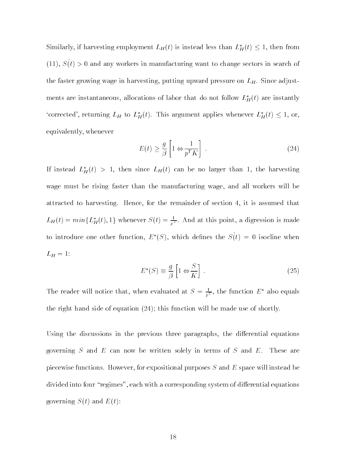Similarly, if harvesting employment  $L_H(t)$  is instead less than  $L_H(t) \leq 1,$  then from (11),  $S(t) > 0$  and any workers in manufacturing want to change sectors in search of the faster growing wage in harvesting, putting upward pressure on LH . Since adjustments are instantaneous, allocations of labor that do not follow  $L_H(t)$  are instantly 'corrected', returning  $L_H$  to  $L_H^*(t)$ . This argument applies whenever  $L_H^*(t) \leq 1$ , or, equivalently, whenever

$$
E(t) \ge \frac{g}{\beta} \left[ 1 \Leftrightarrow \frac{1}{p^T K} \right] \tag{24}
$$

If instead  $L_H(t) > 1$ , then since  $L_H(t)$  can be no larger than 1, the harvesting wage must be rising faster than the manufacturing wage, and all workers will be attracted to harvesting. Hence, for the remainder of section 4, it is assumed that  $L_H(t) = min\{L_H(t), 1\}$  whenever  $S(t) = \frac{1}{2T}$ . And at this point, a digression is made to introduce one other function,  $E^*(S)$ , which defines the  $S(t) = 0$  isocline when  $-11$   $-1$ 

$$
E^*(S) \equiv \frac{g}{\beta} \left[ 1 \Leftrightarrow \frac{S}{K} \right] \,. \tag{25}
$$

The reader will notice that, when evaluated at  $S = \frac{1}{pT}$ , the function E also equals the right hand side of equation (24); this function will be made use of shortly.

Using the discussions in the previous three paragraphs, the differential equations governing  $S$  and  $E$  can now be written solely in terms of  $S$  and  $E$ . These are piecewise functions. However, for expositional purposes  $S$  and  $E$  space will instead be divided into four "regimes", each with a corresponding system of differential equations governing  $S(t)$  and  $E(t)$ :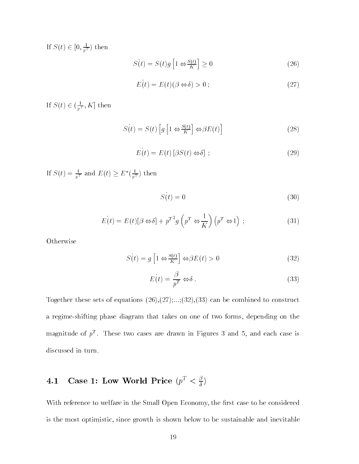If  $S(t) \in [0, \frac{1}{n^T})$  then

$$
S(t) = S(t)g\left[1 \Leftrightarrow \frac{S(t)}{K}\right] \ge 0\tag{26}
$$

$$
E(t) = E(t)(\beta \Leftrightarrow \delta) > 0 \tag{27}
$$

If  $S(t) \in (\frac{1}{n^T}, R]$  then

$$
S(t) = S(t) \left[ g \left[ 1 \Leftrightarrow \frac{S(t)}{K} \right] \Leftrightarrow \beta E(t) \right]
$$
 (28)

$$
E(t) = E(t) [\beta S(t) \Leftrightarrow \delta] ; \qquad (29)
$$

If  $S(t) = \frac{1}{pT}$  and  $E(t) \geq E(\frac{1}{pT})$  then

$$
S(t) = 0 \tag{30}
$$

$$
E(t) = E(t)[\beta \Leftrightarrow \delta] + p^{T^2} g\left(p^T \Leftrightarrow \frac{1}{K}\right) \left(p^T \Leftrightarrow 1\right) ; \qquad (31)
$$

Otherwise

$$
S(t) = g\left[1 \Leftrightarrow \frac{S(t)}{K}\right] \Leftrightarrow \beta E(t) > 0 \tag{32}
$$

$$
E(t) = \frac{\beta}{p^T} \Leftrightarrow \delta \,. \tag{33}
$$

Together these sets of equations  $(26),(27),...,(32),(33)$  can be combined to construct a regime-shifting phase diagram that takes on one of two forms, depending on the magnitude of  $p^\star$  . These two cases are drawn in Figures 3 and 5, and each case is discussed in turn.

 $\ddot{\phantom{a}}$ 

## 4.1 Case 1: Low world Price  $(p^2 < \frac{\pi}{\delta})$

With reference to welfare in the Small Open Economy, the first case to be considered is the most optimistic, since growth is shown below to be sustainable and inevitable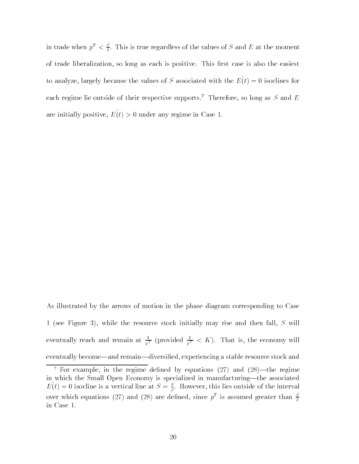in trade when  $p^{\ast} < \frac{\varepsilon}{\delta}$ . This is true regardless of the values of  $S$  and  $E$  at the moment of trade liberalization, so long as each is positive. This first case is also the easiest to analyze, largely because the values of S associated with the  $E(t) = 0$  isoclines for each regime lie outside of their respective supports.<sup>7</sup> Therefore, so long as S and E are initially positive,  $E(t) > 0$  under any regime in Case 1.

As illustrated by the arrows of motion in the phase diagram corresponding to Case 1 (see Figure 3), while the resource stock initially may rise and then fall, <sup>S</sup> will eventually reach and remain at  $\frac{1}{pT}$  (provided  $\frac{1}{pT} < K$ ). That is, the economy will eventually become—and remain—diversified, experiencing a stable resource stock and

 $\pm$  ror example, in the regime defined by equations (27) and (28)—the regime in which the Small Open Economy is specialized in manufacturing-the associated  $E(t) = 0$  isocline is a vertical line at  $S = \frac{1}{2}$ . However, this lies outside of the interval over which equations (27) and (28) are defined, since  $p^+$  is assumed greater than  $\frac{e}{\delta}$ in Case 1.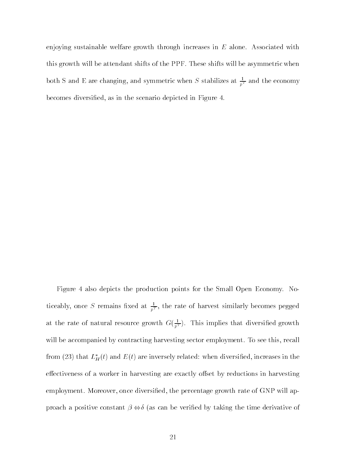enjoying sustainable welfare growth through increases in  $E$  alone. Associated with this growth will be attendant shifts of the PPF. These shifts will be asymmetric when both S and E are changing, and symmetric when S stabilizes at  $\frac{1}{pT}$  and the economy becomes diversied, as in the scenario depicted in Figure 4.

Figure 4 also depicts the production points for the Small Open Economy. Noticeably, once S remains fixed at  $\frac{1}{pT}$ , the rate of harvest similarly becomes pegged at the rate of natural resource growth  $G(\frac{1}{T})$ . This implies that diversified growth will be accompanied by contracting harvesting sector employment. To see this, recall from (23) that  $L_H(t)$  and  $E(t)$  are inversely related: when diversified, increases in the effectiveness of a worker in harvesting are exactly offset by reductions in harvesting employment. Moreover, once diversied, the percentage growth rate of GNP will approach a positive constant  $\beta \Leftrightarrow \delta$  (as can be verified by taking the time derivative of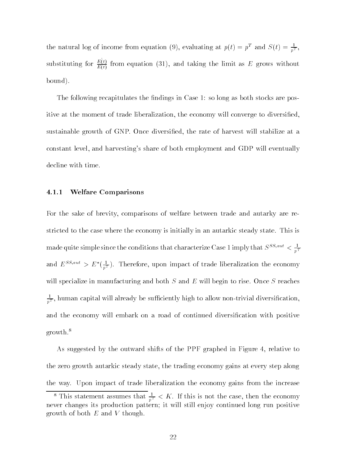the natural log of income from equation (9), evaluating at  $p(t) = p^2$  and  $S(t) = \frac{1}{pT},$ substituting for  $E(t)$  from equation (31), and taking the limit as E grows without bound).

The following recapitulates the findings in Case 1: so long as both stocks are positive at the moment of trade liberalization, the economy will converge to diversified, sustainable growth of GNP. Once diversied, the rate of harvest will stabilize at a constant level, and harvesting's share of both employment and GDP will eventually decline with time.

### 4.1.1 Welfare Comparisons

For the sake of brevity, comparisons of welfare between trade and autarky are restricted to the case where the economy is initially in an autarkic steady state. This is made quite simple since the conditions that characterize Case 1 imply that  $S^{2,0,\infty}<\frac{1}{nT}$ and  $E^{2\gamma} > E(\frac{\pi}{nT})$ . Therefore, upon impact of trade liberalization the economy will specialize in manufacturing and both  $S$  and  $E$  will begin to rise. Once  $S$  reaches  $\frac{1}{nT},$  human capital will already be sufficiently high to allow non-trivial diversification, and the economy will embark on a road of continued diversication with positive growth.8

As suggested by the outward shifts of the PPF graphed in Figure 4, relative to the zero growth autarkic steady state, the trading economy gains at every step along the way. Upon impact of trade liberalization the economy gains from the increase

I his statement assumes that  $\frac{1}{pT} < R$ . If this is not the case, then the economy never changes its production pattern; it will still enjoy continued long run positive growth of both  $E$  and  $V$  though.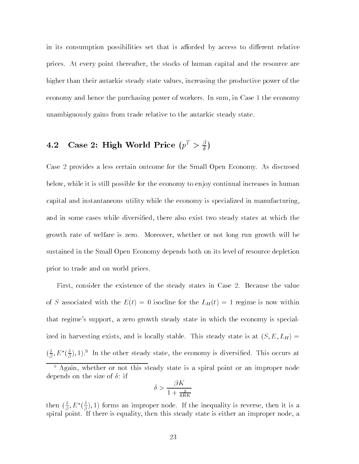in its consumption possibilities set that is afforded by access to different relative prices. At every point thereafter, the stocks of human capital and the resource are higher than their autarkic steady state values, increasing the productive power of the economy and hence the purchasing power of workers. In sum, in Case 1 the economy unambiguously gains from trade relative to the autarkic steady state.

## 4.2 Case 2: High world Price  $(p^2 > \frac{1}{\delta})$

Case 2 provides a less certain outcome for the Small Open Economy. As discussed below, while it is still possible for the economy to enjoy continual increases in human capital and instantaneous utility while the economy is specialized in manufacturing, and in some cases while diversified, there also exist two steady states at which the growth rate of welfare is zero. Moreover, whether or not long run growth will be sustained in the Small Open Economy depends both on its level of resource depletion prior to trade and on world prices.

First, consider the existence of the steady states in Case 2. Because the value of S associated with the  $E(t) = 0$  isocilie for the  $L_H(t) = 1$  regime is now within that regime's support, a zero growth steady state in which the economy is specialized in harvesting exists, and is locally stable. This steady state is at  $(S, E, L_H)$  =  $(\frac{1}{2}, L)$  $\frac{1}{\beta}, E^+(\frac{1}{\beta}),$  .  $\overline{\beta}$ ), 1). In the other steady state, the economy is diversified. This occurs at

$$
\delta > \frac{\beta K}{1 + \frac{g}{4BK}}
$$

then  $(\frac{1}{\beta}, E^{\dagger}(\frac{1}{\beta}), \frac{1}{\beta})$  $\beta$ ); 1) forms an improper node. If the inequality is reverse, then it is a spiral point. If there is equality, then this steady state is either an improper node, a

 $\cdot$  Again, whether or not this steady state is a spiral point or an improper node depends on the size of  $\delta$ : if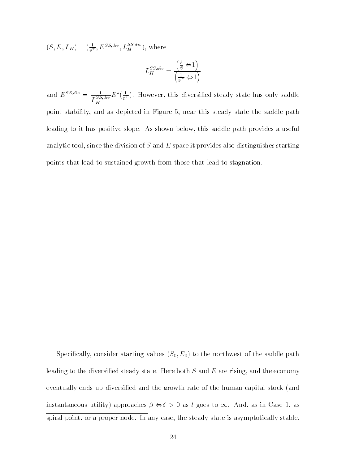$(S, E, L_H) = (\frac{1}{p^T}, E^{SS,att}, L_H^{ss,ext}),$  where

$$
L_H^{SS,div} = \frac{\left(\frac{\delta}{\beta} \Leftrightarrow 1\right)}{\left(\frac{1}{p^T} \Leftrightarrow 1\right)}
$$

and  $E^{ss;ave} = \frac{S\bar{S}, div}{L_H^{SS,div}} E$  $E\left(\frac{\pi}{nT}\right)$ . However, this diversined steady state has only saddle point stability, and as depicted in Figure 5, near this steady state the saddle path leading to it has positive slope. As shown below, this saddle path provides a useful analytic tool, since the division of S and E space it provides also distinguishes starting points that lead to sustained growth from those that lead to stagnation.

Specifically, consider starting values  $(S_0, E_0)$  to the northwest of the saddle path leading to the diversified steady state. Here both  $S$  and  $E$  are rising, and the economy eventually ends up diversied and the growth rate of the human capital stock (and instantaneous utility) approaches  $\beta \Leftrightarrow \delta > 0$  as t goes to  $\infty$ . And, as in Case 1, as spiral point, or a proper node. In any case, the steady state is asymptotically stable.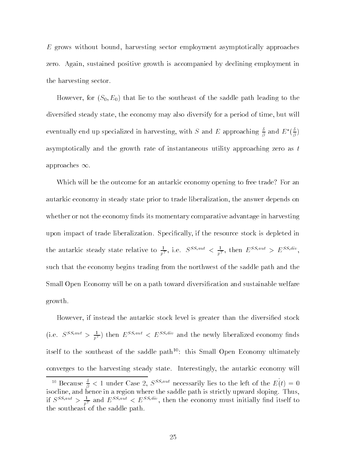E grows without bound, harvesting sector employment asymptotically approaches zero. Again, sustained positive growth is accompanied by declining employment in the harvesting sector.

However, for  $(S_0, E_0)$  that lie to the southeast of the saddle path leading to the diversied steady state, the economy may also diversify for a period of time, but will eventually end up specialized in harvesting, with S and E approaching  $\frac{z}{\beta}$  and  $E\left(\frac{z}{\beta}\right)$  $\beta$  /  $\beta$  /  $\beta$ asymptotically and the growth rate of instantaneous utility approaching zero as  $t$ approaches  $\infty$ .

Which will be the outcome for an autarkic economy opening to free trade? For an autarkic economy in steady state prior to trade liberalization, the answer depends on whether or not the economy finds its momentary comparative advantage in harvesting upon impact of trade liberalization. Specically, if the resource stock is depleted in the autarkic steady state relative to  $\frac{1}{nT}$ , i.e.  $S^{ss,sat} \leq \frac{1}{nT}$ , then  $E^{ss,sat} \geq E^{ss,sat}$ , such that the economy begins trading from the northwest of the saddle path and the Small Open Economy will be on a path toward diversification and sustainable welfare growth.

However, if instead the autarkic stock level is greater than the diversified stock (i.e.  $S^{25,20} > \frac{1}{pT}$ ) then  $E^{25,20} \leq E^{25,200}$  and the newly liberalized economy finds itself to the southeast of the saddle path<sup>10</sup>: this Small Open Economy ultimately converges to the harvesting steady state. Interestingly, the autarkic economy will

 $10^{\circ}$  Because  $\frac{3}{\beta}$  < 1 under Case 2,  $S^{2.5,2.0}$  necessarily lies to the left of the  $E(t)=0$ isocline, and hence in a region where the saddle path is strictly upward sloping. Thus, if  $S^{ss,aux} > \frac{1}{pT}$  and  $E^{ss,aux} < E^{ss,aux}$ , then the economy must initially find itself to the southeast of the saddle path.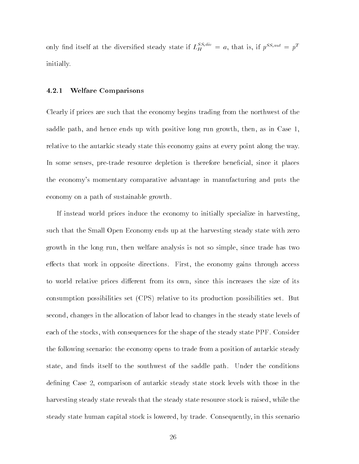only find itself at the diversified steady state if  $L_H^{2}$   $\qquad = a$ , that is, if  $p^{SS,aux} = p^T$ initially.

### 4.2.1 Welfare Comparisons

Clearly if prices are such that the economy begins trading from the northwest of the saddle path, and hence ends up with positive long run growth, then, as in Case 1, relative to the autarkic steady state this economy gains at every point along the way. In some senses, pre-trade resource depletion is therefore beneficial, since it places the economy's momentary comparative advantage in manufacturing and puts the economy on a path of sustainable growth.

If instead world prices induce the economy to initially specialize in harvesting, such that the Small Open Economy ends up at the harvesting steady state with zero growth in the long run, then welfare analysis is not so simple, since trade has two effects that work in opposite directions. First, the economy gains through access to world relative prices different from its own, since this increases the size of its consumption possibilities set (CPS) relative to its production possibilities set. But second, changes in the allocation of labor lead to changes in the steady state levels of each of the stocks, with consequences for the shape of the steady state PPF. Consider the following scenario: the economy opens to trade from a position of autarkic steady state, and finds itself to the southwest of the saddle path. Under the conditions defining Case 2, comparison of autarkic steady state stock levels with those in the harvesting steady state reveals that the steady state resource stock is raised, while the steady state human capital stock is lowered, by trade. Consequently, in this scenario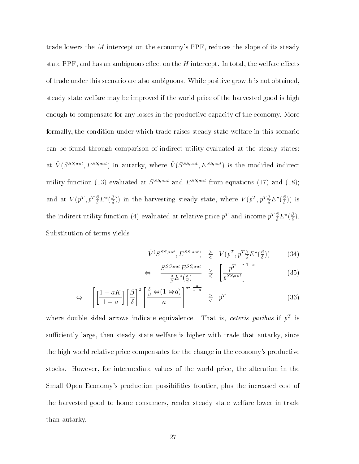trade lowers the  $M$  intercept on the economy's PPF, reduces the slope of its steady state PPF, and has an ambiguous effect on the H intercept. In total, the welfare effects of trade under this scenario are also ambiguous. While positive growth is not obtained, steady state welfare may be improved if the world price of the harvested good is high enough to compensate for any losses in the productive capacity of the economy. More formally, the condition under which trade raises steady state welfare in this scenario can be found through comparison of indirect utility evaluated at the steady states: at  $V(S^{\text{SS,aux}}, E^{\text{SS,aux}})$  in autarky, where  $V(S^{\text{SS,aux}}, E^{\text{SS,aux}})$  is the modified indirect utility function (13) evaluated at  $S^{SS, aut}$  and  $E^{SS, aut}$  from equations (17) and (18); and at  $V(p^+,p^+\frac{p}{\delta}E^*(\frac{p}{\delta}))$  in the harvesting steady state, where  $V(p^+,p^+\frac{p}{\delta}E^*(\frac{p}{\delta}))$  is the indirect utility function (4) evaluated at relative price  $p^+$  and income  $p^+ \frac{e}{\delta} E^-(\frac{e}{\delta}).$ Substitution of terms yields

$$
\tilde{V}(S^{SS,aut}, E^{SS,aut}) \geq V(p^T, p^T \frac{\beta}{\delta} E^*(\frac{\beta}{\delta})) \tag{34}
$$

$$
\Leftrightarrow \frac{S^{SS, aut} E^{SS, aut}}{\frac{\delta}{\beta} E^*(\frac{\delta}{\beta})} \ge \left[\frac{p^T}{p^{SS, aut}}\right]^{1-a} \tag{35}
$$

$$
\Leftrightarrow \quad \left[ \left[ \frac{1 + aK}{1 + a} \right] \left[ \frac{\beta}{\delta} \right]^2 \left[ \frac{\frac{\delta}{\beta} \Leftrightarrow (1 \Leftrightarrow a)}{a} \right]^a \right]^{1 - a} \geq p^T \tag{36}
$$

where double sided arrows indicate equivalence. That is, *ceteris paribus* if  $p^+$  is sufficiently large, then steady state welfare is higher with trade that autarky, since the high world relative price compensates for the change in the economy's productive stocks. However, for intermediate values of the world price, the alteration in the Small Open Economy's production possibilities frontier, plus the increased cost of the harvested good to home consumers, render steady state welfare lower in trade than autarky.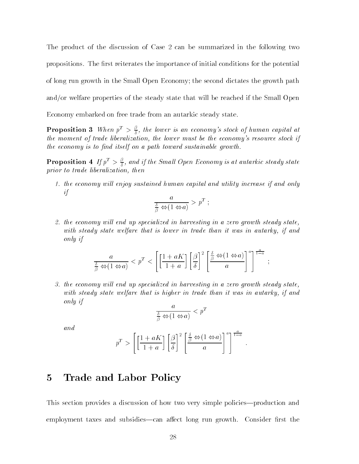The product of the discussion of Case 2 can be summarized in the following two propositions. The first reiterates the importance of initial conditions for the potential of long run growth in the Small Open Economy; the second dictates the growth path and/or welfare properties of the steady state that will be reached if the Small Open Economy embarked on free trade from an autarkic steady state.

**Proposition 3** When  $p^T > \frac{p}{5}$ , the lower is an economy's stock of human capital at . the moment of trade liberalization, the lower must be the economy's resource stock if the economy is to find itself on a path toward sustainable growth.

**Proposition 4** If  $p^2 > \frac{1}{\delta}$ , and if the Small Open Economy is at autarkic steady state prior to trade liberalization, then

1. the economy will enjoy sustained human capital and utility increase if and only if

$$
\frac{a}{\frac{\delta}{\beta} \Leftrightarrow (1 \Leftrightarrow a)} > p^T ;
$$

2. the economy will end up specialized in harvesting in a zero growth steady state, with steady state welfare that is lower in trade than it was in autarky, if and only if

$$
\frac{a}{\frac{\delta}{\beta} \Leftrightarrow (1 \Leftrightarrow a)} < p^T < \left[ \left[ \frac{1 + aK}{1 + a} \right] \left[ \frac{\beta}{\delta} \right]^2 \left[ \frac{\frac{\delta}{\beta} \Leftrightarrow (1 \Leftrightarrow a)}{a} \right]^a \right]^\frac{a}{1 - a} ;
$$

3. the economy will end up specialized in harvesting in a zero growth steady state, with steady state welfare that is higher in trade than it was in autarky, if and only if

$$
\frac{a}{\frac{\delta}{\beta} \Leftrightarrow (1 \Leftrightarrow a)} < p^T
$$

and

$$
p^T > \left[\left[\frac{1+aK}{1+a}\right] \left[\frac{\beta}{\delta}\right]^2 \left[\frac{\frac{\delta}{\beta} \Leftrightarrow (1 \Leftrightarrow a)}{a}\right]^a\right]^{\frac{a}{1-a}}.
$$

:

#### $\overline{5}$ Trade and Labor Policy

This section provides a discussion of how two very simple policies—production and employment taxes and subsidies—can affect long run growth. Consider first the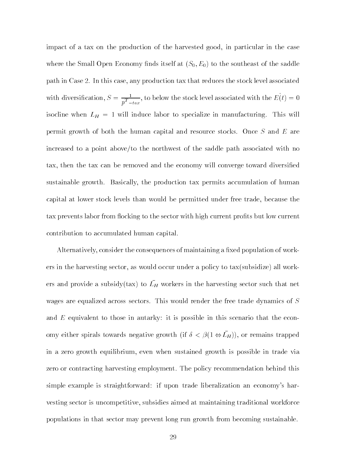impact of a tax on the production of the harvested good, in particular in the case where the Small Open Economy finds itself at  $(S_0, E_0)$  to the southeast of the saddle path in Case 2. In this case, any production tax that reduces the stock level associated with diversification,  $S = \frac{T}{p^T - t a x}$ , to below the stock level associated with the  $E(t) = 0$ isocline when LH = 1 will induce labor to specialize in manufacturing. This will permit growth of both the human capital and resource stocks. Once <sup>S</sup> and <sup>E</sup> are increased to a point above/to the northwest of the saddle path associated with no tax, then the tax can be removed and the economy will converge toward diversied sustainable growth. Basically, the production tax permits accumulation of human capital at lower stock levels than would be permitted under free trade, because the tax prevents labor from flocking to the sector with high current profits but low current contribution to accumulated human capital.

 $\Lambda$ lternatively, consider the consequences of maintaining a fixed population of workers in the harvesting sector, as would occur under a policy to tax(subsidize) all workers and provide a subsidy(tax) to  $L_H$  workers in the harvesting sector such that net wages are equalized across sectors. This would render the free trade dynamics of  $S$ and  $E$  equivalent to those in autarky: it is possible in this scenario that the economy either spirals towards negative growth (if  $\sigma \lt \rho$ (1  $\leftrightarrow$   $L_H$ )), or remains trapped in a zero growth equilibrium, even when sustained growth is possible in trade via zero or contracting harvesting employment. The policy recommendation behind this simple example is straightforward: if upon trade liberalization an economy's harvesting sector is uncompetitive, subsidies aimed at maintaining traditional workforce populations in that sector may prevent long run growth from becoming sustainable.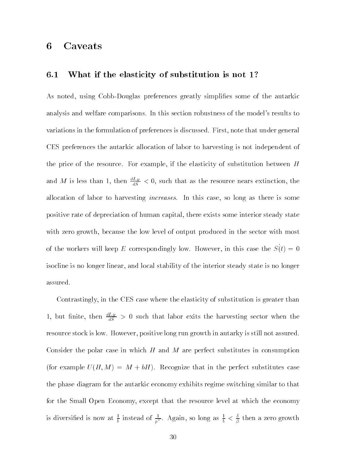#### **Caveats** 6

### 6.1 What if the elasticity of substitution is not 1?

As noted, using Cobb-Douglas preferences greatly simplifies some of the autarkic analysis and welfare comparisons. In this section robustness of the model's results to variations in the formulation of preferences is discussed. First, note that under general CES preferences the autarkic allocation of labor to harvesting is not independent of the price of the resource. For example, if the elasticity of substitution between  $H$ and M is less than 1, then  $\frac{dE_H}{dS} < 0$ , such that as the resource nears extinction, the allocation of labor to harvesting *increases*. In this case, so long as there is some positive rate of depreciation of human capital, there exists some interior steady state with zero growth, because the low level of output produced in the sector with most of the workers will keep E correspondingly low. However, in this case the  $S(t)=0$ isocline is no longer linear, and local stability of the interior steady state is no longer assured.

Contrastingly, in the CES case where the elasticity of substitution is greater than 1, but finite, then  $\frac{dE}{dS} > 0$  such that labor exits the harvesting sector when the resource stock is low. However, positive long run growth in autarky is still not assured. Consider the polar case in which  $H$  and  $M$  are perfect substitutes in consumption (for example  $U(H, M) = M + bH$ ). Recognize that in the perfect substitutes case the phase diagram for the autarkic economy exhibits regime switching similar to that for the Small Open Economy, except that the resource level at which the economy is diversified is now at  $\frac{1}{b}$  instead of  $\frac{1}{pT}$ . Again, so long as  $\frac{1}{b} < \frac{1}{\beta}$  then a zero growth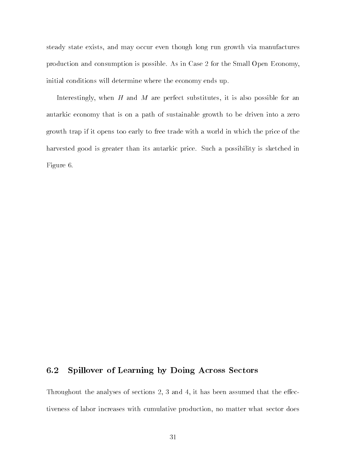steady state exists, and may occur even though long run growth via manufactures production and consumption is possible. As in Case 2 for the Small Open Economy, initial conditions will determine where the economy ends up.

Interestingly, when  $H$  and  $M$  are perfect substitutes, it is also possible for an autarkic economy that is on a path of sustainable growth to be driven into a zero growth trap if it opens too early to free trade with a world in which the price of the harvested good is greater than its autarkic price. Such a possibility is sketched in Figure 6.

### 6.2 Spillover of Learning by Doing Across Sectors

Throughout the analyses of sections  $2, 3$  and  $4$ , it has been assumed that the effectiveness of labor increases with cumulative production, no matter what sector does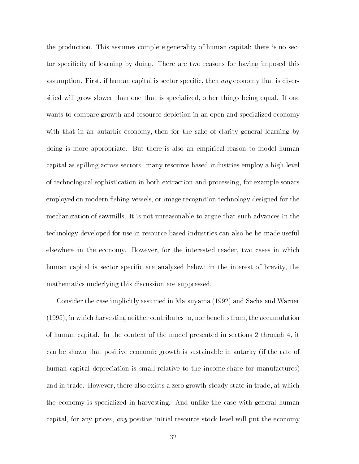the production. This assumes complete generality of human capital: there is no sector specicity of learning by doing. There are two reasons for having imposed this assumption. First, if human capital is sector specific, then *any* economy that is diversified will grow slower than one that is specialized, other things being equal. If one wants to compare growth and resource depletion in an open and specialized economy with that in an autarkic economy, then for the sake of clarity general learning by doing is more appropriate. But there is also an empirical reason to model human capital as spilling across sectors: many resource-based industries employ a high level of technological sophistication in both extraction and processing, for example sonars employed on modern fishing vessels, or image recognition technology designed for the mechanization of sawmills. It is not unreasonable to argue that such advances in the technology developed for use in resource based industries can also be be made useful elsewhere in the economy. However, for the interested reader, two cases in which human capital is sector specific are analyzed below; in the interest of brevity, the mathematics underlying this discussion are suppressed.

Consider the case implicitly assumed in Matsuyama (1992) and Sachs and Warner  $(1995)$ , in which harvesting neither contributes to, nor benefits from, the accumulation of human capital. In the context of the model presented in sections 2 through 4, it can be shown that positive economic growth is sustainable in autarky (if the rate of human capital depreciation is small relative to the income share for manufactures) and in trade. However, there also exists a zero growth steady state in trade, at which the economy is specialized in harvesting. And unlike the case with general human capital, for any prices, *any* positive initial resource stock level will put the economy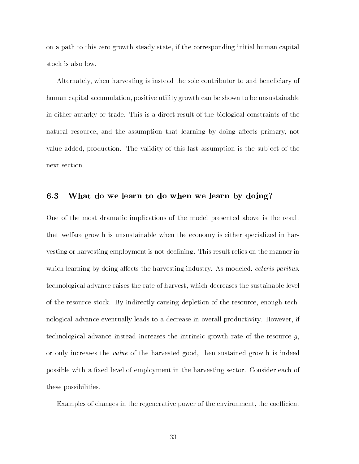on a path to this zero growth steady state, if the corresponding initial human capital stock is also low.

Alternately, when harvesting is instead the sole contributor to and beneficiary of human capital accumulation, positive utility growth can be shown to be unsustainable in either autarky or trade. This is a direct result of the biological constraints of the natural resource, and the assumption that learning by doing affects primary, not value added, production. The validity of this last assumption is the subject of the next section.

### 6.3 What do we learn to do when we learn by doing?

One of the most dramatic implications of the model presented above is the result that welfare growth is unsustainable when the economy is either specialized in harvesting or harvesting employment is not declining. This result relies on the manner in which learning by doing affects the harvesting industry. As modeled, *ceteris paribus*, technological advance raises the rate of harvest, which decreases the sustainable level of the resource stock. By indirectly causing depletion of the resource, enough technological advance eventually leads to a decrease in overall productivity. However, if technological advance instead increases the intrinsic growth rate of the resource  $q$ , or only increases the *value* of the harvested good, then sustained growth is indeed possible with a fixed level of employment in the harvesting sector. Consider each of these possibilities.

Examples of changes in the regenerative power of the environment, the coefficient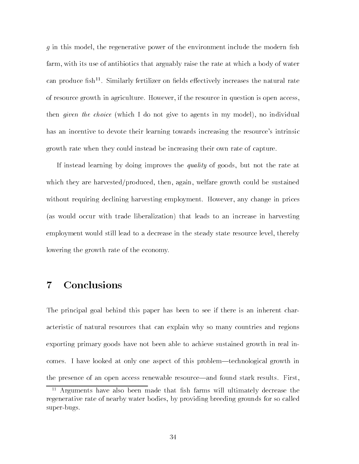g in this model, the regenerative power of the environment include the modern sh farm, with its use of antibiotics that arguably raise the rate at which a body of water can produce fish<sup>11</sup>. Similarly fertilizer on fields effectively increases the natural rate of resource growth in agriculture. However, if the resource in question is open access, then *given the choice* (which I do not give to agents in my model), no individual has an incentive to devote their learning towards increasing the resource's intrinsic growth rate when they could instead be increasing their own rate of capture.

If instead learning by doing improves the quality of goods, but not the rate at which they are harvested/produced, then, again, welfare growth could be sustained without requiring declining harvesting employment. However, any change in prices (as would occur with trade liberalization) that leads to an increase in harvesting employment would still lead to a decrease in the steady state resource level, thereby lowering the growth rate of the economy.

#### **Conclusions**  $\overline{7}$

The principal goal behind this paper has been to see if there is an inherent characteristic of natural resources that can explain why so many countries and regions exporting primary goods have not been able to achieve sustained growth in real incomes. I have looked at only one aspect of this problem—technological growth in the presence of an open access renewable resource—and found stark results. First,

 $\cdot$  - Arguments have also been made that itsli farms will ultimately decrease the  $\cdot$ regenerative rate of nearby water bodies, by providing breeding grounds for so called super-bugs.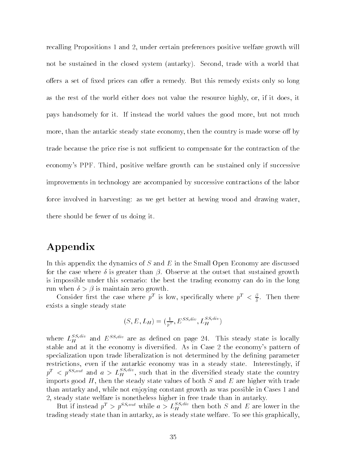recalling Propositions 1 and 2, under certain preferences positive welfare growth will not be sustained in the closed system (autarky). Second, trade with a world that offers a set of fixed prices can offer a remedy. But this remedy exists only so long as the rest of the world either does not value the resource highly, or, if it does, it pays handsomely for it. If instead the world values the good more, but not much more, than the autarkic steady state economy, then the country is made worse off by trade because the price rise is not sufficient to compensate for the contraction of the economy's PPF. Third, positive welfare growth can be sustained only if successive improvements in technology are accompanied by successive contractions of the labor force involved in harvesting: as we get better at hewing wood and drawing water, there should be fewer of us doing it.

## Appendix

In this appendix the dynamics of  $S$  and  $E$  in the Small Open Economy are discussed for the case where  $\delta$  is greater than  $\beta$ . Observe at the outset that sustained growth is impossible under this scenario: the best the trading economy can do in the long run when  $\delta > \beta$  is maintain zero growth.

Consider first the case where  $p^+$  is low, specifically where  $p^+ < \frac{p}{2}$ . Then there . exists a single steady state

$$
(S, E, L_H) = \left(\frac{1}{p^T}, E^{SS, div}, L_H^{SS, div}\right)
$$

where  $L_H^{\omega, \cdots}$  and  $E^{\omega, \mu\nu}$  are as defined on page 24. This steady state is locally stable and at it the economy is diversied. As in Case 2 the economy's pattern of specialization upon trade liberalization is not determined by the defining parameter restrictions, even if the autarkic economy was in a steady state. Interestingly, if  $p^T \leq p^{S,S,\text{aut}}$  and  $a > L_H^{\text{max}}$ , such that in the diversified steady state the country imports good  $H$ , then the steady state values of both  $S$  and  $E$  are higher with trade than autarky and, while not enjoying constant growth as was possible in Cases 1 and 2, steady state welfare is nonetheless higher in free trade than in autarky.

But if instead  $p^2 > p^{2S, u}$  while  $a > L_H^{2S}$  then both S and E are lower in the trading steady state than in autarky, as is steady state welfare. To see this graphically,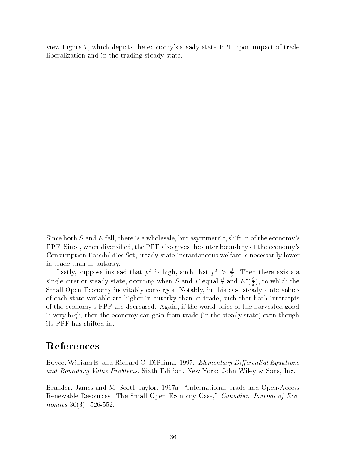view Figure 7, which depicts the economy's steady state PPF upon impact of trade liberalization and in the trading steady state.

Since both  $S$  and  $E$  fall, there is a wholesale, but asymmetric, shift in of the economy's PPF. Since, when diversied, the PPF also gives the outer boundary of the economy's Consumption Possibilities Set, steady state instantaneous welfare is necessarily lower in trade than in autarky.

Lastly, suppose instead that  $p^+$  is high, such that  $p^+ > \frac{1}{\delta}$ . Then there exists a single interior steady state, occuring when S and E equal  $\frac{\beta}{\delta}$  and  $E^*(\frac{\beta}{\delta})$ , to which the Small Open Economy inevitably converges. Notably, in this case steady state values of each state variable are higher in autarky than in trade, such that both intercepts of the economy's PPF are decreased. Again, if the world price of the harvested good is very high, then the economy can gain from trade (in the steady state) even though its PPF has shifted in.

## References

Boyce, William E. and Richard C. DiPrima. 1997. *Elementary Differential Equations* and Boundary Value Problems, Sixth Edition. New York: John Wiley & Sons, Inc.

Brander, James and M. Scott Taylor. 1997a. \International Trade and Open-Access Renewable Resources: The Small Open Economy Case," Canadian Journal of Economics 30(3): 526-552.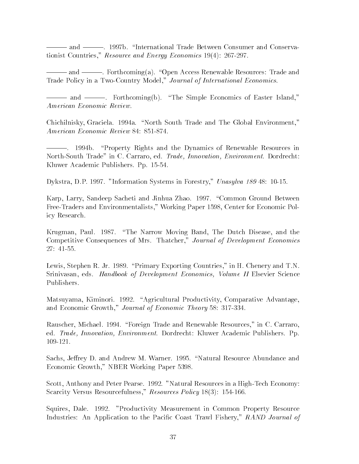||| and |||. 1997b. \International Trade Between Consumer and Conservationist Countries," Resource and Energy Economics 19(4): 267-297.

||| and |||. Forthcoming(a). \Open Access Renewable Resources: Trade and Trade Policy in a Two-Country Model," Journal of International Economics.

||| and |||. Forthcoming(b). \The Simple Economics of Easter Island," American Economic Review.

Chichilnisky, Graciela. 1994a. "North South Trade and The Global Environment," American Economic Review 84: 851-874.

-. 1994b. "Property Rights and the Dynamics of Renewable Resources in North-South Trade" in C. Carraro, ed. Trade, Innovation, Environment. Dordrecht: Kluwer Academic Publishers. Pp. 15-54.

Dykstra, D.P. 1997. "Information Systems in Forestry," Unasylva 189 48: 10-15.

Karp, Larry, Sandeep Sacheti and Jinhua Zhao. 1997. "Common Ground Between Free-Traders and Environmentalists," Working Paper 1598, Center for Economic Policy Research.

Krugman, Paul. 1987. "The Narrow Moving Band, The Dutch Disease, and the Competitive Consequences of Mrs. Thatcher," Journal of Development Economics 27: 41-55.

Lewis, Stephen R. Jr. 1989. "Primary Exporting Countries," in H. Chenery and T.N. Srinivasan, eds. Handbook of Development Economics, Volume II Elsevier Science Publishers.

Matsuyama, Kiminori. 1992. "Agricultural Productivity, Comparative Advantage, and Economic Growth," Journal of Economic Theory 58: 317-334.

Rauscher, Michael. 1994. \Foreign Trade and Renewable Resources," in C. Carraro, ed. Trade, Innovation, Environment. Dordrecht: Kluwer Academic Publishers. Pp. 109-121.

Sachs, Jeffrey D. and Andrew M. Warner. 1995. "Natural Resource Abundance and Economic Growth," NBER Working Paper 5398.

Scott, Anthony and Peter Pearse. 1992. "Natural Resources in a High-Tech Economy: Scarcity Versus Resourcefulness," Resources Policy 18(3): 154-166.

Squires, Dale. 1992. "Productivity Measurement in Common Property Resource Industries: An Application to the Pacific Coast Trawl Fishery," RAND Journal of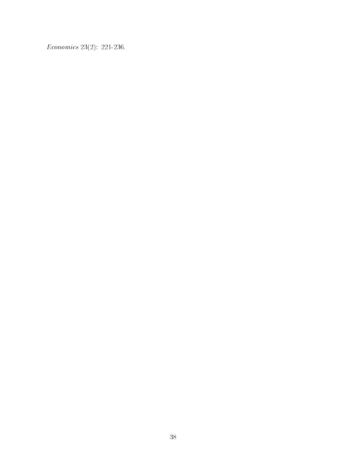Economics 23(2): 221-236.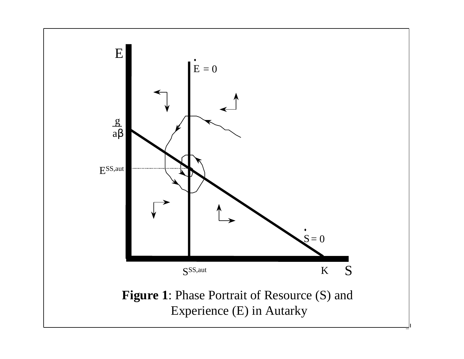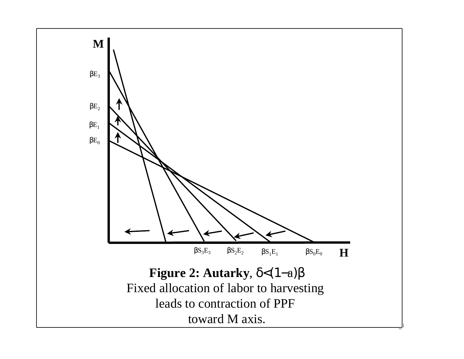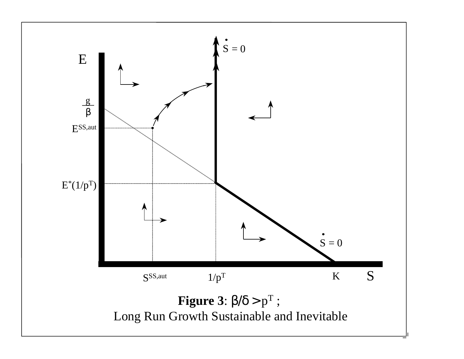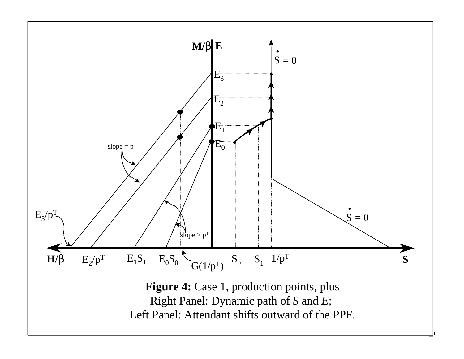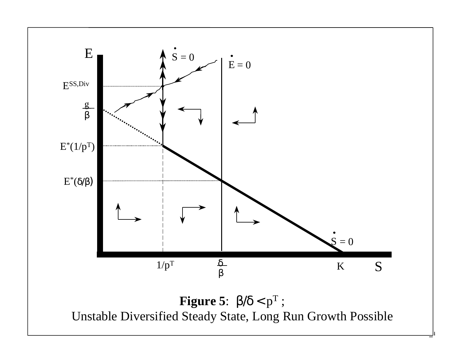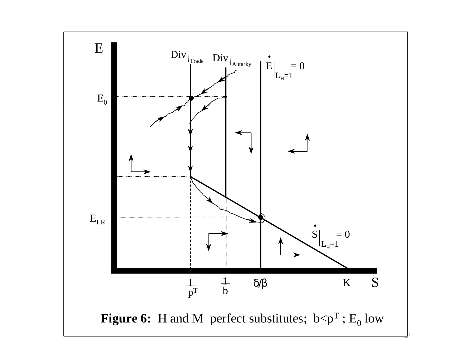